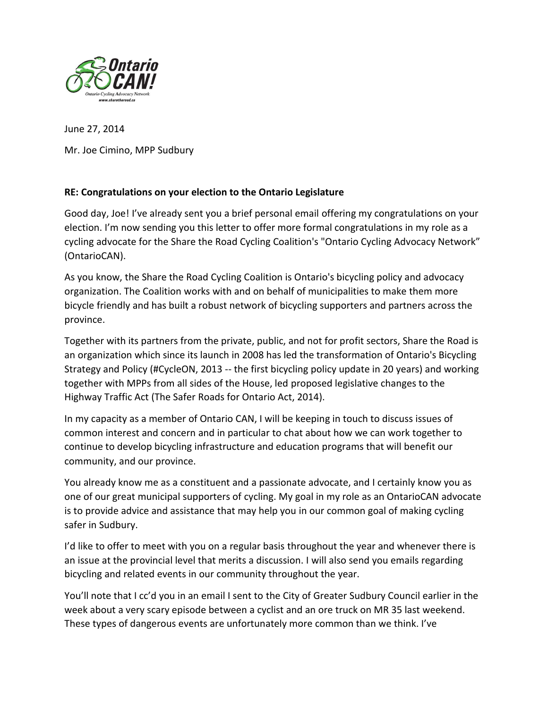

June 27, 2014 Mr. Joe Cimino, MPP Sudbury

## **RE: Congratulations on your election to the Ontario Legislature**

Good day, Joe! I've already sent you a brief personal email offering my congratulations on your election. I'm now sending you this letter to offer more formal congratulations in my role as a cycling advocate for the Share the Road Cycling Coalition's "Ontario Cycling Advocacy Network" (OntarioCAN).

As you know, the Share the Road Cycling Coalition is Ontario's bicycling policy and advocacy organization. The Coalition works with and on behalf of municipalities to make them more bicycle friendly and has built a robust network of bicycling supporters and partners across the province.

Together with its partners from the private, public, and not for profit sectors, Share the Road is an organization which since its launch in 2008 has led the transformation of Ontario's Bicycling Strategy and Policy (#CycleON, 2013 -- the first bicycling policy update in 20 years) and working together with MPPs from all sides of the House, led proposed legislative changes to the Highway Traffic Act (The Safer Roads for Ontario Act, 2014).

In my capacity as a member of Ontario CAN, I will be keeping in touch to discuss issues of common interest and concern and in particular to chat about how we can work together to continue to develop bicycling infrastructure and education programs that will benefit our community, and our province.

You already know me as a constituent and a passionate advocate, and I certainly know you as one of our great municipal supporters of cycling. My goal in my role as an OntarioCAN advocate is to provide advice and assistance that may help you in our common goal of making cycling safer in Sudbury.

I'd like to offer to meet with you on a regular basis throughout the year and whenever there is an issue at the provincial level that merits a discussion. I will also send you emails regarding bicycling and related events in our community throughout the year.

You'll note that I cc'd you in an email I sent to the City of Greater Sudbury Council earlier in the week about a very scary episode between a cyclist and an ore truck on MR 35 last weekend. These types of dangerous events are unfortunately more common than we think. I've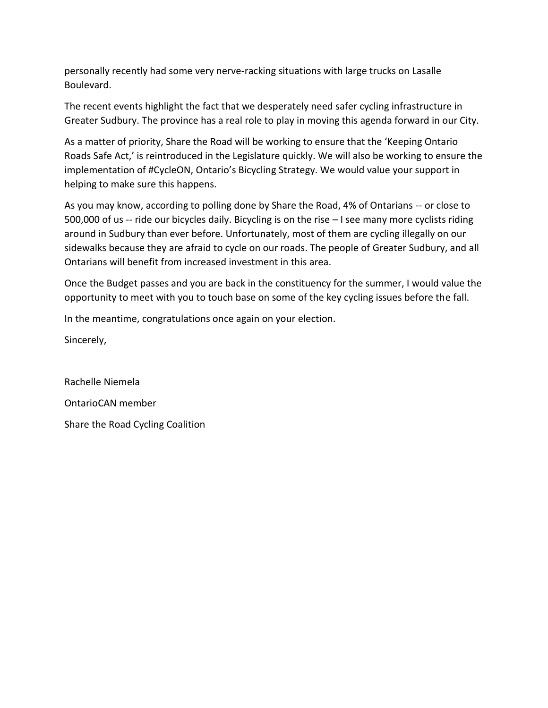personally recently had some very nerve-racking situations with large trucks on Lasalle Boulevard.

The recent events highlight the fact that we desperately need safer cycling infrastructure in Greater Sudbury. The province has a real role to play in moving this agenda forward in our City.

As a matter of priority, Share the Road will be working to ensure that the 'Keeping Ontario Roads Safe Act,' is reintroduced in the Legislature quickly. We will also be working to ensure the implementation of #CycleON, Ontario's Bicycling Strategy. We would value your support in helping to make sure this happens.

As you may know, according to polling done by Share the Road, 4% of Ontarians -- or close to 500,000 of us -- ride our bicycles daily. Bicycling is on the rise – I see many more cyclists riding around in Sudbury than ever before. Unfortunately, most of them are cycling illegally on our sidewalks because they are afraid to cycle on our roads. The people of Greater Sudbury, and all Ontarians will benefit from increased investment in this area.

Once the Budget passes and you are back in the constituency for the summer, I would value the opportunity to meet with you to touch base on some of the key cycling issues before the fall.

In the meantime, congratulations once again on your election.

Sincerely,

Rachelle Niemela OntarioCAN member Share the Road Cycling Coalition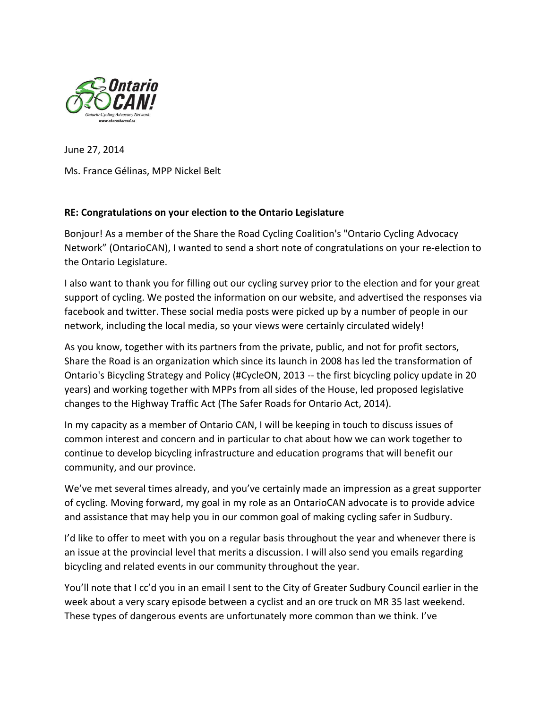

June 27, 2014 Ms. France Gélinas, MPP Nickel Belt

## **RE: Congratulations on your election to the Ontario Legislature**

Bonjour! As a member of the Share the Road Cycling Coalition's "Ontario Cycling Advocacy Network" (OntarioCAN), I wanted to send a short note of congratulations on your re-election to the Ontario Legislature.

I also want to thank you for filling out our cycling survey prior to the election and for your great support of cycling. We posted the information on our website, and advertised the responses via facebook and twitter. These social media posts were picked up by a number of people in our network, including the local media, so your views were certainly circulated widely!

As you know, together with its partners from the private, public, and not for profit sectors, Share the Road is an organization which since its launch in 2008 has led the transformation of Ontario's Bicycling Strategy and Policy (#CycleON, 2013 -- the first bicycling policy update in 20 years) and working together with MPPs from all sides of the House, led proposed legislative changes to the Highway Traffic Act (The Safer Roads for Ontario Act, 2014).

In my capacity as a member of Ontario CAN, I will be keeping in touch to discuss issues of common interest and concern and in particular to chat about how we can work together to continue to develop bicycling infrastructure and education programs that will benefit our community, and our province.

We've met several times already, and you've certainly made an impression as a great supporter of cycling. Moving forward, my goal in my role as an OntarioCAN advocate is to provide advice and assistance that may help you in our common goal of making cycling safer in Sudbury.

I'd like to offer to meet with you on a regular basis throughout the year and whenever there is an issue at the provincial level that merits a discussion. I will also send you emails regarding bicycling and related events in our community throughout the year.

You'll note that I cc'd you in an email I sent to the City of Greater Sudbury Council earlier in the week about a very scary episode between a cyclist and an ore truck on MR 35 last weekend. These types of dangerous events are unfortunately more common than we think. I've